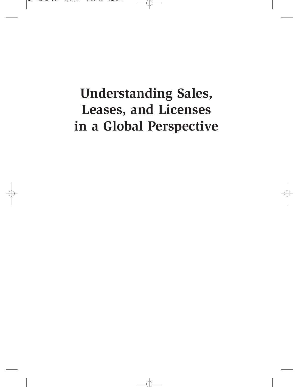# **Understanding Sales, Leases, and Licenses in a Global Perspective**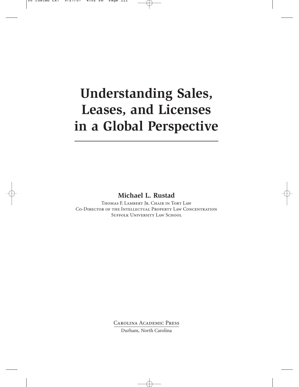# **Understanding Sales, Leases, and Licenses in a Global Perspective**

### **Michael L. Rustad**

Thomas F. Lambert Jr. Chair in Tort Law Co-Director of the Intellectual Property Law Concentration SUFFOLK UNIVERSITY LAW SCHOOL

> Carolina Academic Press Durham, North Carolina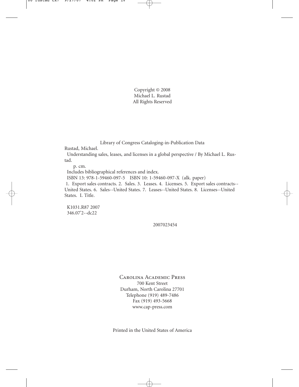Copyright © 2008 Michael L. Rustad All Rights Reserved

Library of Congress Cataloging-in-Publication Data

Rustad, Michael.

Understanding sales, leases, and licenses in a global perspective / By Michael L. Rustad.

p. cm.

Includes bibliographical references and index.

ISBN 13: 978-1-59460-097-5 ISBN 10: 1-59460-097-X (alk. paper)

1. Export sales contracts. 2. Sales. 3. Leases. 4. Licenses. 5. Export sales contracts-- United States. 6. Sales--United States. 7. Leases--United States. 8. Licenses--United States. I. Title.

K1031.R87 2007 346.07'2--dc22

2007023454

Carolina Academic Press 700 Kent Street Durham, North Carolina 27701 Telephone (919) 489-7486 Fax (919) 493-5668 www.cap-press.com

Printed in the United States of America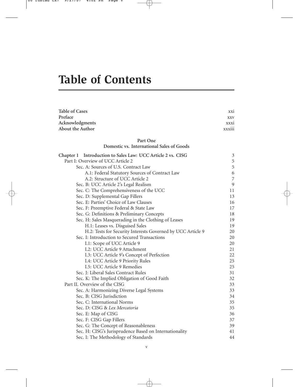## **Table of Contents**

| <b>Table of Cases</b>                                       | XX1         |
|-------------------------------------------------------------|-------------|
| Preface                                                     | <b>XXV</b>  |
| Acknowledgments                                             | <b>XXX1</b> |
| <b>About the Author</b>                                     | xxxiii      |
|                                                             |             |
| Part One<br>Domestic vs. International Sales of Goods       |             |
| Chapter 1 Introduction to Sales Law: UCC Article 2 vs. CISG | 3           |
| Part I: Overview of UCC Article 2                           | 5           |
| Sec. A: Sources of U.S. Contract Law                        | 5           |
| A.1: Federal Statutory Sources of Contract Law              | 6           |
| A.2: Structure of UCC Article 2                             | 7           |
| Sec. B: UCC Article 2's Legal Realism                       | 9           |
| Sec. C: The Comprehensiveness of the UCC                    | 11          |
| Sec. D: Supplemental Gap Fillers                            | 13          |
| Sec. E: Parties' Choice of Law Clauses                      | 16          |
| Sec. F: Preemptive Federal & State Law                      | 17          |
| Sec. G: Definitions & Preliminary Concepts                  | 18          |
| Sec. H: Sales Masquerading in the Clothing of Leases        | 19          |
| H.1: Leases vs. Disguised Sales                             | 19          |
| H.2: Tests for Security Interests Governed by UCC Article 9 | 20          |
| Sec. I: Introduction to Secured Transactions                | 20          |
| I.1: Scope of UCC Article 9                                 | 20          |
| I.2: UCC Article 9 Attachment                               | 21          |
| I.3: UCC Article 9's Concept of Perfection                  | 22          |
| I.4: UCC Article 9 Priority Rules                           | 25          |
| I.5: UCC Article 9 Remedies                                 | 25          |
| Sec. J: Liberal Sales Contract Rules                        | 31          |
| Sec. K: The Implied Obligation of Good Faith                | 32          |
| Part II. Overview of the CISG                               | 33          |
| Sec. A: Harmonizing Diverse Legal Systems                   | 33          |
| Sec. B: CISG Jurisdiction                                   | 34          |
| Sec. C: International Norms                                 | 35          |
| Sec. D: CISG & Lex Mercatoria                               | 35          |
| Sec. E: Map of CISG                                         | 36          |
| Sec. F: CISG Gap Fillers                                    | 37          |
| Sec. G: The Concept of Reasonableness                       | 39          |
| Sec. H: CISG's Jurisprudence Based on Internationality      | 41          |
| Sec. I: The Methodology of Standards                        | 44          |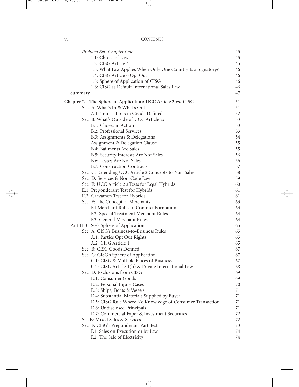| Problem Set: Chapter One                                    | 45 |
|-------------------------------------------------------------|----|
| 1.1: Choice of Law                                          | 45 |
| 1.2: CISG Article 4                                         | 45 |
| 1.3: What Law Applies When Only One Country Is a Signatory? | 46 |
| 1.4: CISG Article 6 Opt Out                                 | 46 |
| 1.5: Sphere of Application of CISG                          | 46 |
| 1.6: CISG as Default International Sales Law                | 46 |
| Summary                                                     | 47 |
| Chapter 2 The Sphere of Application: UCC Article 2 vs. CISG | 51 |
| Sec. A: What's In & What's Out                              | 51 |
| A.1: Transactions in Goods Defined                          | 52 |
| Sec. B: What's Outside of UCC Article 2?                    | 53 |
| B.1: Choses in Action                                       | 53 |
| B.2: Professional Services                                  | 53 |
| B.3: Assignments & Delegations                              | 54 |
| Assignment & Delegation Clause                              | 55 |
| B.4: Bailments Are Sales                                    | 55 |
| B.5: Security Interests Are Not Sales                       | 56 |
| B.6: Leases Are Not Sales                                   | 56 |
| <b>B.7: Construction Contracts</b>                          | 57 |
| Sec. C: Extending UCC Article 2 Concepts to Non-Sales       | 58 |
| Sec. D: Services & Non-Code Law                             | 59 |
| Sec. E: UCC Article 2's Tests for Legal Hybrids             | 60 |
| E.1: Preponderant Test for Hybrids                          | 61 |
| E.2: Gravamen Test for Hybrids                              | 61 |
| Sec. F: The Concept of Merchants                            | 63 |
| F.1 Merchant Rules in Contract Formation                    | 63 |
| F.2: Special Treatment Merchant Rules                       | 64 |
| F.3: General Merchant Rules                                 | 64 |
| Part II: CISG's Sphere of Application                       | 65 |
| Sec. A: CISG's Business-to-Business Rules                   | 65 |
| A.1: Parties Opt Out Rights                                 | 65 |
| A.2: CISG Article 1                                         | 65 |
| Sec. B: CISG Goods Defined                                  | 67 |
| Sec. C: CISG's Sphere of Application                        | 67 |
| C.1: CISG & Multiple Places of Business                     | 67 |
| C.2: CISG Article 1(b) & Private International Law          | 68 |
| Sec. D: Exclusions from CISG                                | 69 |
| D.1: Consumer Goods                                         | 69 |
| D.2: Personal Injury Cases                                  | 70 |
| D.3: Ships, Boats & Vessels                                 | 71 |
| D.4: Substantial Materials Supplied by Buyer                | 71 |
| D.5: CISG Rule Where No Knowledge of Consumer Transaction   | 71 |
| D.6: Undisclosed Principals                                 | 71 |
| D.7: Commercial Paper & Investment Securities               | 72 |
| Sec E: Mixed Sales & Services                               | 72 |
| Sec. F: CISG's Preponderant Part Test                       | 73 |
| F.1: Sales on Execution or by Law                           | 74 |
| F.2: The Sale of Electricity                                | 74 |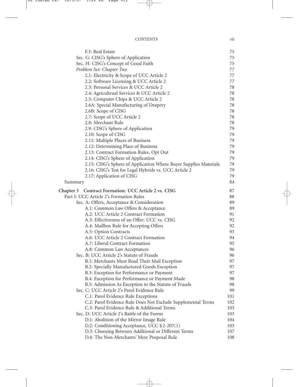| CONTENTS | . .<br>V11 |
|----------|------------|
|          |            |

| F.3: Real Estate                                                  | 75  |
|-------------------------------------------------------------------|-----|
| Sec. G: CISG's Sphere of Application                              | 75  |
| Sec. H: CISG's Concept of Good Faith                              | 75  |
| Problem Set: Chapter Two                                          | 77  |
| 2.1: Electricity & Scope of UCC Article 2                         | 77  |
| 2.2: Software Licensing & UCC Article 2                           | 77  |
| 2.3: Personal Services & UCC Article 2                            | 78  |
| 2.4: Agricultrual Services & UCC Article 2                        | 78  |
| 2.5: Computer Chips & UCC Article 2                               | 78  |
| 2.6A: Special Manufacturing of Drapery                            | 78  |
| 2.6B: Scope of CISG                                               | 78  |
| 2.7: Scope of UCC Article 2                                       | 78  |
| 2.8: Merchant Rule                                                | 78  |
| 2.9: CISG's Sphere of Application                                 | 79  |
| 2.10: Scope of CISG                                               | 79  |
| 2.11: Multiple Places of Business                                 | 79  |
| 2.12: Determining Place of Business                               | 79  |
| 2.13: Contract Formation Rules, Opt Out                           | 79  |
| 2.14: CISG's Sphere of Application                                | 79  |
| 2.15: CISG's Sphere of Application Where Buyer Supplies Materials | 79  |
| 2.16: CISG's Test for Legal Hybrids vs. UCC Article 2             | 79  |
| 2.17: Application of CISG                                         | 79  |
| Summary                                                           | 84  |
|                                                                   |     |
| Chapter 3 Contract Formation: UCC Article 2 vs. CISG              | 87  |
| Part I: UCC Article 2's Formation Rules                           | 88  |
| Sec. A: Offers, Acceptance & Consideration                        | 89  |
| A.1: Common Law Offers & Acceptance                               | 89  |
| A.2: UCC Article 2 Contract Formation                             | 91  |
| A.3: Effectiveness of an Offer: UCC vs. CISG                      | 92  |
| A.4: Mailbox Rule for Accepting Offers                            | 92  |
| A.5: Option Contracts                                             | 93  |
| A.6: UCC Article 2 Contract Formation                             | 94  |
| A.7: Liberal Contract Formation                                   | 95  |
| A.8: Common Law Acceptances                                       | 96  |
| Sec. B: UCC Article 2's Statute of Frauds                         | 96  |
| B.1: Merchants Must Read Their Mail Exception                     | 97  |
| B.2: Specially Manufactured Goods Exception                       | 97  |
| B.3: Exception for Performance or Payment                         | 97  |
| B.4: Exception for Performance or Payment Made                    | 98  |
| B.5: Admission As Exception to the Statute of Frauds              | 98  |
| Sec. C: UCC Article 2's Parol Evidence Rule                       | 99  |
| C.1: Parol Evidence Rule Exceptions                               | 101 |
| C.2: Parol Evidence Rule Does Not Exclude Supplemental Terms      | 102 |
| C.3: Parol Evidence Rule & Additional Terms                       | 103 |
| Sec. D: UCC Article 2's Battle of the Forms                       | 103 |
| D.1: Abolition of the Mirror Image Rule                           | 104 |
| D.2: Conditioning Acceptance, UCC §2-207(1)                       | 105 |
| D.3: Choosing Between Additional or Different Terms               | 107 |
| D.4: The Non-Merchants' Mere Proposal Rule                        | 108 |
|                                                                   |     |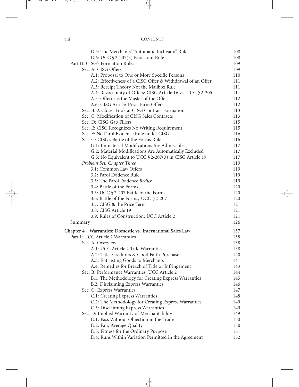#### viii CONTENTS

| D.5: The Merchants' "Automatic Inclusion" Rule                                                         | 108        |
|--------------------------------------------------------------------------------------------------------|------------|
| D.6: UCC §2-207(3) Knockout Rule                                                                       | 108        |
| Part II: CISG's Formation Rules                                                                        | 109        |
| Sec. A: CISG Offers                                                                                    | 109        |
| A.1: Proposal to One or More Specific Persons                                                          | 110        |
| A.2: Effectiveness of a CISG Offer & Withdrawal of an Offer                                            | 111        |
| A.3: Receipt Theory Not the Mailbox Rule                                                               | 111<br>111 |
| A.4: Revocability of Offers: CISG Article 16 vs. UCC §2-205<br>A.5: Offeror is the Master of the Offer | 112        |
| A.6: CISG Article 16 vs. Firm Offers                                                                   | 112        |
| Sec. B: A Closer Look at CISG Contract Formation                                                       | 113        |
| Sec. C: Modification of CISG Sales Contracts                                                           | 113        |
| Sec. D: CISG Gap Fillers                                                                               | 115        |
| Sec. E: CISG Recognizes No Writing Requirement                                                         | 115        |
| Sec. F: No Parol Evidence Rule under CISG                                                              | 116        |
| Sec. G: CISG's Battle of the Forms Rule                                                                | 116        |
| G.1: Immaterial Modifications Are Admissible                                                           | 117        |
| G.2: Material Modifications Are Automatically Excluded                                                 | 117        |
| G.3: No Equivalent to UCC §2-207(3) in CISG Article 19                                                 | 117        |
| Problem Set: Chapter Three                                                                             | 119        |
| 3.1: Common Law Offers                                                                                 | 119        |
| 3.2: Parol Evidence Rule                                                                               | 119        |
| 3.3: The Parol Evidence Redux                                                                          | 119        |
| 3.4: Battle of the Forms                                                                               | 120        |
| 3.5: UCC §2-207 Battle of the Forms                                                                    | 120        |
| 3.6: Battle of the Forms, UCC §2-207                                                                   | 120        |
| 3.7: CISG & the Price Term                                                                             | 121        |
| 3.8: CISG Article 19                                                                                   | 121        |
| 3.9: Rules of Construction: UCC Article 2                                                              | 121        |
| Summary                                                                                                | 126        |
| Chapter 4 Warranties: Domestic vs. International Sales Law                                             | 137        |
| Part I: UCC Article 2 Warranties                                                                       | 138        |
| Sec. A: Overview                                                                                       | 138        |
| A.1: UCC Article 2 Title Warranties                                                                    | 138        |
| A.2: Title, Creditors & Good Faith Purchaser                                                           | 140        |
| A.3: Entrusting Goods to Merchants                                                                     | 141        |
| A.4: Remedies for Breach of Title or Infringement                                                      | 143        |
| Sec. B: Performance Warranties: UCC Article 2                                                          | 144        |
| B.1: The Methodology for Creating Express Warranties                                                   | 145        |
| B.2: Disclaiming Express Warranties                                                                    | 146        |
| Sec. C: Express Warranties                                                                             | 147        |
| C.1: Creating Express Warranties                                                                       | 148        |
| C.2: The Methodology for Creating Express Warranties                                                   | 149        |
| C.3: Disclaiming Express Warranties                                                                    | 149        |
| Sec. D: Implied Warranty of Merchantability                                                            | 149        |
| D.1: Pass Without Objection in the Trade                                                               | 150        |
| D.2: Fair, Average Quality                                                                             | 150        |
| D.3: Fitness for the Ordinary Purpose                                                                  | 151        |
| D.4: Runs Within Variation Permitted in the Agreement                                                  | 152        |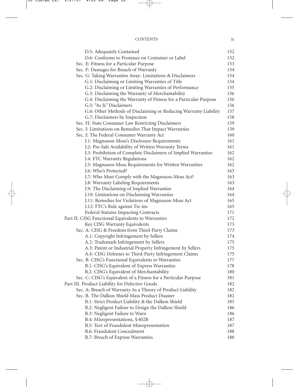#### CONTENTS ix

| D.5: Adequately Contained                                         | 152 |
|-------------------------------------------------------------------|-----|
| D.6: Conforms to Promises on Container or Label                   | 152 |
| Sec. E: Fitness for a Particular Purpose                          | 153 |
| Sec. F: Damages for Breach of Warranty                            | 154 |
| Sec. G: Taking Warranties Away: Limitations & Disclaimers         | 154 |
| G.1: Disclaiming or Limiting Warranties of Title                  | 154 |
| G.2: Disclaiming or Limiting Warranties of Performance            | 155 |
| G.3: Disclaiming the Warranty of Merchantability                  | 156 |
| G.4: Disclaiming the Warranty of Fitness for a Particular Purpose | 156 |
| G.5: "As Is" Disclaimers                                          | 156 |
| G.6: Other Methods of Disclaiming or Reducing Warranty Liability  | 157 |
| G.7: Disclaimers by Inspection                                    | 158 |
| Sec. H: State Consumer Law Restricting Disclaimers                | 159 |
| Sec. I: Limitations on Remedies That Impact Warranties            | 159 |
| Sec. J: The Federal Consumer Warranty Act                         | 160 |
| J.1: Magnuson-Moss's Disclosure Requirements                      | 161 |
| J.2: Pre-Sale Availability of Written Warranty Terms              | 161 |
| J.3: Prohibition of Complete Disclaimers of Implied Warranties    | 162 |
| J.4: FTC Warranty Regulations                                     | 162 |
| J.5: Magnuson-Moss Requirements for Written Warranties            | 162 |
| J.6: Who's Protected?                                             | 163 |
| J.7: Who Must Comply with the Magnuson-Moss Act?                  | 163 |
| J.8: Warranty Labeling Requirements                               | 163 |
| J.9: The Disclaiming of Implied Warranties                        | 164 |
| J.10: Limitations on Disclaiming Warranties                       | 164 |
| J.11: Remedies for Violations of Magnuson-Moss Act                | 165 |
| J.12: FTC's Rule against Tie-ins                                  | 165 |
| Federal Statutes Impacting Contracts                              | 171 |
| Part II: CISG Functional Equivalents to Warranties                | 172 |
| Key CISG Warranty Equivalents                                     | 173 |
| Sec. A: CISG & Freedom from Third-Party Claims                    | 173 |
| A.1: Copyright Infringement by Sellers                            | 174 |
| A.2: Trademark Infringement by Sellers                            | 175 |
| A.3: Patent or Industrial Property Infringement by Sellers        | 175 |
| A.4: CISG Defenses to Third-Party Infringement Claims             | 175 |
| Sec. B: CISG's Functional Equivalents to Warranties               | 177 |
| B.1: CISG's Equivalent of Express Warranties                      | 178 |
| B.2: CISG's Equivalent of Merchantability                         | 180 |
| Sec. C: CISG's Equivalent of a Fitness for a Particular Purpose   | 181 |
| Part III. Product Liability for Defective Goods                   | 182 |
| Sec. A: Breach of Warranty As a Theory of Product Liability       | 182 |
| Sec. B. The Dalkon Shield Mass Product Disaster                   | 182 |
| B.1: Strict Product Liability & the Dalkon Shield                 | 185 |
| B.2: Negligent Failure to Design the Dalkon Shield                | 186 |
| B.3: Negligent Failure to Warn                                    | 186 |
| B.4: Misrepresentations, §402B                                    | 187 |
| B.5: Tort of Fraudulent Misrepresentation                         | 187 |
| B.6: Fraudulent Concealment                                       | 188 |
| B.7: Breach of Express Warranties                                 | 188 |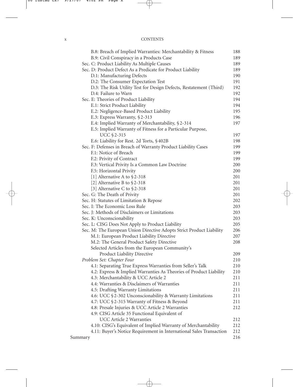| <b>CONTENTS</b> |  |
|-----------------|--|
|                 |  |

|         | B.8: Breach of Implied Warranties: Merchantability & Fitness         | 188 |
|---------|----------------------------------------------------------------------|-----|
|         | B.9: Civil Conspiracy in a Products Case                             | 189 |
|         | Sec. C: Product Liability As Multiple Causes                         | 189 |
|         | Sec. D: Product Defect As a Predicate for Product Liability          | 189 |
|         | D.1: Manufacturing Defects                                           | 190 |
|         | D.2: The Consumer Expectation Test                                   | 191 |
|         | D.3: The Risk Utility Test for Design Defects, Restatement (Third)   | 192 |
|         | D.4: Failure to Warn                                                 | 192 |
|         | Sec. E: Theories of Product Liability                                | 194 |
|         | E.1: Strict Product Liability                                        | 194 |
|         | E.2: Negligence-Based Product Liability                              | 195 |
|         | E.3: Express Warranty, §2-313                                        | 196 |
|         | E.4: Implied Warranty of Merchantability, §2-314                     | 197 |
|         | E.5: Implied Warranty of Fitness for a Particular Purpose,           |     |
|         | <b>UCC §2-315</b>                                                    | 197 |
|         | E.6: Liability for Rest. 2d Torts, §402B                             | 198 |
|         | Sec. F: Defenses in Breach of Warranty Product Liability Cases       | 199 |
|         | F.1: Notice of Breach                                                | 199 |
|         | F.2: Privity of Contract                                             | 199 |
|         | F.3: Vertical Privity Is a Common Law Doctrine                       | 200 |
|         | F.5: Horizontal Privity                                              | 200 |
|         | [1] Alternative A to $$2-318$                                        | 201 |
|         | [2] Alternative B to $$2-318$                                        | 201 |
|         | [3] Alternative C to §2-318                                          | 201 |
|         | Sec. G: The Death of Privity                                         | 201 |
|         | Sec. H: Statutes of Limitation & Repose                              | 202 |
|         | Sec. I: The Economic Loss Rule                                       | 203 |
|         | Sec. J: Methods of Disclaimers or Limitations                        | 203 |
|         | Sec. K: Unconscionability                                            | 203 |
|         | Sec. L: CISG Does Not Apply to Product Liability                     | 205 |
|         | Sec. M: The European Union Directive Adopts Strict Product Liability | 206 |
|         | M.1: European Product Liability Directive                            | 207 |
|         | M.2: The General Product Safety Directive                            | 208 |
|         | Selected Articles from the European Community's                      |     |
|         | Product Liability Directive                                          | 209 |
|         | Problem Set: Chapter Four                                            | 210 |
|         | 4.1: Separating True Express Warranties from Seller's Talk           | 210 |
|         | 4.2: Express & Implied Warranties As Theories of Product Liability   | 210 |
|         | 4.3: Merchantability & UCC Article 2                                 | 211 |
|         | 4.4: Warranties & Disclaimers of Warranties                          | 211 |
|         | 4.5: Drafting Warranty Limitations                                   | 211 |
|         | 4.6: UCC §2-302 Unconscionability & Warranty Limitations             | 211 |
|         | 4.7: UCC §2-315 Warranty of Fitness & Beyond                         | 211 |
|         | 4.8: Presale Injuries & UCC Article 2 Warranties                     | 212 |
|         | 4.9: CISG Article 35 Functional Equivalent of                        |     |
|         | <b>UCC Article 2 Warranties</b>                                      | 212 |
|         | 4.10: CISG's Equivalent of Implied Warranty of Merchantability       | 212 |
|         | 4.11: Buyer's Notice Requirement in International Sales Transaction  | 212 |
| Summary |                                                                      | 216 |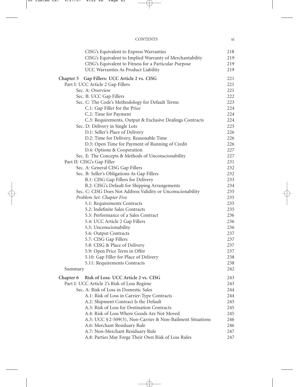| CISG's Equivalent to Express Warranties                     | 218        |
|-------------------------------------------------------------|------------|
| CISG's Equivalent to Implied Warranty of Merchantability    | 219        |
| CISG's Equivalent to Fitness for a Particular Purpose       | 219        |
| UCC Warranties As Product Liability                         | 219        |
| Chapter 5 Gap Fillers: UCC Article 2 vs. CISG               | 221        |
| Part I: UCC Article 2 Gap Fillers                           | 221        |
| Sec. A: Overview                                            | 221        |
| Sec. B: UCC Gap Fillers                                     | 222        |
| Sec. C: The Code's Methodology for Default Terms            | 223        |
| C.1: Gap Filler for the Price                               | 224        |
| C.2: Time for Payment                                       | 224        |
| C.3: Requirements, Output & Exclusive Dealings Contracts    | 224        |
| Sec. D: Delivery in Single Lots                             | 225        |
| D.1: Seller's Place of Delivery                             | 226        |
| D.2: Time for Delivery, Reasonable Time                     | 226        |
| D.3: Open Time for Payment of Running of Credit             | 226        |
| D.4: Options & Cooperation                                  | 227        |
| Sec. E: The Concepts & Methods of Unconscionability         | 227        |
| Part II: CISG's Gap Filler                                  | 231        |
| Sec. A: General CISG Gap Fillers                            | 232        |
| Sec. B: Seller's Obligations As Gap Fillers                 | 232        |
| B.1: CISG Gap Fillers for Delivery                          | 233        |
| B.2: CISG's Default for Shipping Arrangements               | 234        |
| Sec. C: CISG Does Not Address Validity or Unconscionability | 235        |
| Problem Set: Chapter Five                                   | 235        |
| 5.1: Requirements Contracts                                 | 235        |
| 5.2: Indefinite Sales Contracts                             | 235        |
| 5.3: Performance of a Sales Contract                        | 236        |
| 5.4: UCC Article 2 Gap Fillers                              | 236        |
|                                                             | 236        |
| 5.5: Unconscionability                                      | 237        |
| 5.6: Output Contracts                                       |            |
| 5.7: CISG Gap Fillers                                       | 237        |
| 5.8: CISG & Place of Delivery                               | 237<br>237 |
| 5.9: Open Price Term in Offer                               |            |
| 5.10: Gap Filler for Place of Delivery                      | 238        |
| 5.11: Requirements Contracts<br>Summary                     | 238<br>242 |
|                                                             |            |
| Risk of Loss: UCC Article 2 vs. CISG<br>Chapter 6           | 243        |
| Part I: UCC Article 2's Risk of Loss Regime                 | 243        |
| Sec. A: Risk of Loss in Domestic Sales                      | 244        |
| A.1: Risk of Loss in Carrier-Type Contracts                 | 244        |
| A.2: Shipment Contract Is the Default                       | 245        |
| A.3: Risk of Loss for Destination Contracts                 | 245        |
| A.4: Risk of Loss Where Goods Are Not Moved                 | 245        |
| A.5: UCC §2-509(3), Non-Carrier & Non-Bailment Situations   | 246        |
| A.6: Merchant Residuary Rule                                | 246        |
| A.7: Non-Merchant Residuary Rule                            | 247        |
| A.8: Parties May Forge Their Own Risk of Loss Rules         | 247        |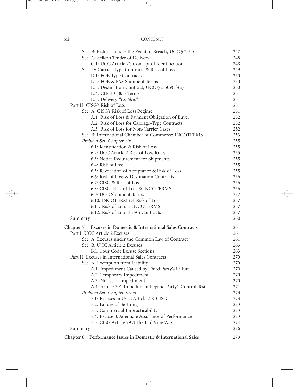#### xii CONTENTS

|           | Sec. B: Risk of Loss in the Event of Breach, UCC §2-510       | 247        |
|-----------|---------------------------------------------------------------|------------|
|           | Sec. C: Seller's Tender of Delivery                           | 248        |
|           | C.1: UCC Article 2's Concept of Identification                | 248        |
|           | Sec. D: Carrier-Type Contracts & Risk of Loss                 | 249        |
|           | D.1: FOB Type Contracts                                       | 250        |
|           | D.2: FOB & FAS Shipment Terms                                 | 250        |
|           | D.3: Destination Contract, UCC $$2-509(1)(a)$                 | 250        |
|           | D.4: CIF & C & F Terms                                        | 251        |
|           | D.5: Delivery "Ex-Ship"                                       | 251        |
|           | Part II: CISG's Risk of Loss                                  | 251        |
|           | Sec. A: CISG's Risk of Loss Regime                            | 251        |
|           | A.1: Risk of Loss & Payment Obligation of Buyer               | 252        |
|           | A.2: Risk of Loss for Carriage-Type Contracts                 | 252        |
|           | A.3: Risk of Loss for Non-Carrier Cases                       | 252        |
|           | Sec. B: International Chamber of Commerce: INCOTERMS          | 253        |
|           | Problem Set: Chapter Six                                      | 255        |
|           | 6.1: Identification & Risk of Loss                            | 255        |
|           | 6.2: UCC Article 2 Risk of Loss Rules                         | 255        |
|           | 6.3: Notice Requirement for Shipments                         | 255        |
|           | 6.4: Risk of Loss                                             | 255        |
|           | 6.5: Revocation of Acceptance & Risk of Loss                  | 255        |
|           | 6.6: Risk of Loss & Destination Contracts                     | 256        |
|           | 6.7: CISG & Risk of Loss                                      | 256        |
|           | 6.8: CISG, Risk of Loss & INCOTERMS                           | 256        |
|           | 6.9: UCC Shipment Terms                                       | 257        |
|           | 6.10: INCOTERMS & Risk of Loss                                | 257        |
|           | 6.11: Risk of Loss & INCOTERMS                                |            |
|           | 6.12: Risk of Loss & FAS Contracts                            | 257        |
|           |                                                               | 257<br>260 |
| Summary   |                                                               |            |
|           | Chapter 7 Excuses in Domestic & International Sales Contracts | 261        |
|           | Part I: UCC Article 2 Excuses                                 | 261        |
|           | Sec. A: Excuses under the Common Law of Contract              | 261        |
|           | Sec. B: UCC Article 2 Excuses                                 | 263        |
|           | B.1: Four Code Excuse Sections                                | 263        |
|           | Part II: Excuses in International Sales Contracts             | 270        |
|           | Sec. A: Exemption from Liability                              | 270        |
|           | A.1: Impediment Caused by Third Party's Failure               | 270        |
|           | A.2: Temporary Impediment                                     | 270        |
|           | A.3: Notice of Impediment                                     | 270        |
|           | A.4: Article 79's Impediment beyond Party's Control Test      | 271        |
|           | Problem Set: Chapter Seven                                    | 273        |
|           | 7.1: Excuses in UCC Article 2 & CISG                          | 273        |
|           | 7.2: Failure of Berthing                                      | 273        |
|           | 7.3: Commercial Impracticability                              | 273        |
|           | 7.4: Excuse & Adequate Assurance of Performance               | 273        |
|           | 7.5: CISG Article 79 & the Bad Vine Wax                       | 274        |
| Summary   |                                                               | 276        |
| Chapter 8 | Performance Issues in Domestic & International Sales          | 279        |
|           |                                                               |            |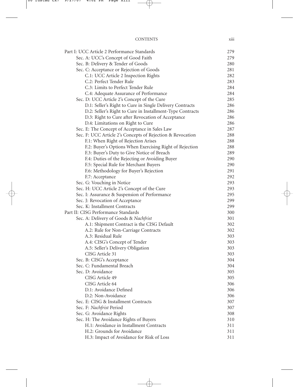| <b>CONTENTS</b> | <br>X111 |
|-----------------|----------|
|                 |          |

| Part I: UCC Article 2 Performance Standards                | 279        |
|------------------------------------------------------------|------------|
| Sec. A: UCC's Concept of Good Faith                        | 279        |
| Sec. B: Delivery & Tender of Goods                         | 280        |
| Sec. C: Acceptance or Rejection of Goods                   | 281        |
| C.1: UCC Article 2 Inspection Rights                       | 282        |
| C.2: Perfect Tender Rule                                   | 283        |
| C.3: Limits to Perfect Tender Rule                         | 284        |
| C.4: Adequate Assurance of Performance                     | 284        |
| Sec. D: UCC Article 2's Concept of the Cure                | 285        |
| D.1: Seller's Right to Cure in Single Delivery Contracts   | 286        |
| D.2: Seller's Right to Cure in Installment-Type Contracts  | 286        |
| D.3: Right to Cure after Revocation of Acceptance          | 286        |
| D.4: Limitations on Right to Cure                          | 286        |
| Sec. E: The Concept of Acceptance in Sales Law             | 287        |
| Sec. F: UCC Article 2's Concepts of Rejection & Revocation | 288        |
| F.1: When Right of Rejection Arises                        | 288        |
| F.2: Buyer's Options When Exercising Right of Rejection    | 288        |
| F.3: Buyer's Duty to Give Notice of Breach                 | 289        |
| F.4: Duties of the Rejecting or Avoiding Buyer             | 290        |
| F.5: Special Rule for Merchant Buyers                      | 290        |
| F.6: Methodology for Buyer's Rejection                     | 291        |
| F.7: Acceptance                                            | 292        |
| Sec. G: Vouching in Notice                                 | 293        |
| Sec. H: UCC Article 2's Concept of the Cure                | 293        |
| Sec. I: Assurance & Suspension of Performance              | 295        |
| Sec. J: Revocation of Acceptance                           | 299        |
| Sec. K: Installment Contracts                              | 299        |
| Part II: CISG Performance Standards                        | 300        |
| Sec. A: Delivery of Goods & Nachfrist                      | 301        |
| A.1: Shipment Contract is the CISG Default                 | 302        |
| A.2: Rule for Non-Carriage Contracts                       | 302        |
| A.3: Residual Rule                                         | 303        |
| A.4: CISG's Concept of Tender                              | 303        |
| A.5: Seller's Delivery Obligation                          | 303        |
| CISG Article 31                                            | 303        |
| Sec. B: CISG's Acceptance                                  | 304        |
| Sec. C: Fundamental Breach                                 | 304        |
| Sec. D: Avoidance                                          | 305        |
| CISG Article 49<br>CISG Article 64                         | 305<br>306 |
| D.1: Avoidance Defined                                     | 306        |
| D.2: Non-Avoidance                                         | 306        |
| Sec. E: CISG & Installment Contracts                       | 307        |
| Sec. F: Nachfrist Period                                   | 307        |
| Sec. G: Avoidance Rights                                   | 308        |
| Sec. H: The Avoidance Rights of Buyers                     | 310        |
| H.1: Avoidance in Installment Contracts                    | 311        |
| H.2: Grounds for Avoidance                                 | 311        |
| H.3: Impact of Avoidance for Risk of Loss                  | 311        |
|                                                            |            |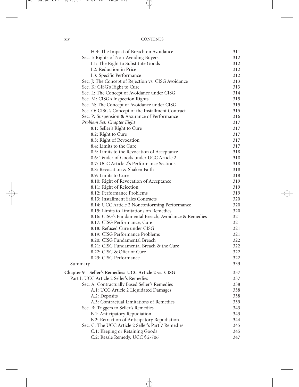| H.4: The Impact of Breach on Avoidance                                                         | 311 |
|------------------------------------------------------------------------------------------------|-----|
| Sec. I: Rights of Non-Avoiding Buyers                                                          | 312 |
| I.1: The Right to Substitute Goods                                                             | 312 |
| I.2: Reduction in Price                                                                        | 312 |
| I.3: Specific Performance                                                                      | 312 |
| Sec. J: The Concept of Rejection vs. CISG Avoidance                                            | 313 |
| Sec. K: CISG's Right to Cure                                                                   | 313 |
| Sec. L: The Concept of Avoidance under CISG                                                    | 314 |
| Sec. M: CISG's Inspection Rights                                                               | 315 |
| Sec. N: The Concept of Avoidance under CISG                                                    | 315 |
| Sec. O: CISG's Concept of the Installment Contract                                             | 315 |
| Sec. P: Suspension & Assurance of Performance                                                  | 316 |
| Problem Set: Chapter Eight                                                                     | 317 |
| 8.1: Seller's Right to Cure                                                                    | 317 |
| 8.2: Right to Cure                                                                             | 317 |
| 8.3: Right of Revocation                                                                       | 317 |
| 8.4: Limits to the Cure                                                                        | 317 |
| 8.5: Limits to the Revocation of Acceptance                                                    | 318 |
| 8.6: Tender of Goods under UCC Article 2                                                       | 318 |
| 8.7: UCC Article 2's Performance Sections                                                      | 318 |
| 8.8: Revocation & Shaken Faith                                                                 | 318 |
| 8.9: Limits to Cure                                                                            | 318 |
| 8.10: Right of Revocation of Acceptance                                                        | 319 |
| 8.11: Right of Rejection                                                                       | 319 |
| 8.12: Performance Problems                                                                     | 319 |
| 8.13: Installment Sales Contracts                                                              | 320 |
| 8.14: UCC Article 2 Nonconforming Performance                                                  | 320 |
| 8.15: Limits to Limitations on Remedies                                                        | 320 |
| 8.16: CISG's Fundamental Breach, Avoidance & Remedies                                          | 321 |
| 8.17: CISG Performance, Cure                                                                   | 321 |
| 8.18: Refused Cure under CISG                                                                  | 321 |
| 8.19: CISG Performance Problems                                                                | 321 |
| 8.20: CISG Fundamental Breach                                                                  | 322 |
| 8.21: CISG Fundamental Breach & the Cure                                                       | 322 |
| 8.22: CISG & Offer of Cure                                                                     | 322 |
| 8.23: CISG Performance                                                                         | 322 |
| Summary                                                                                        | 333 |
|                                                                                                | 337 |
| Chapter 9 Seller's Remedies: UCC Article 2 vs. CISG<br>Part I: UCC Article 2 Seller's Remedies | 337 |
| Sec. A: Contractually Based Seller's Remedies                                                  | 338 |
| A.1: UCC Article 2 Liquidated Damages                                                          | 338 |
|                                                                                                | 338 |
| A.2: Deposits<br>A.3: Contractual Limitations of Remedies                                      | 339 |
| Sec. B: Triggers to Seller's Remedies                                                          | 343 |
|                                                                                                | 343 |
| B.1: Anticipatory Repudiation<br>B.2: Retraction of Anticipatory Repudiation                   | 344 |
| Sec. C: The UCC Article 2 Seller's Part 7 Remedies                                             | 345 |
| C.1: Keeping or Retaining Goods                                                                | 345 |
| C.2: Resale Remedy, UCC §2-706                                                                 | 347 |
|                                                                                                |     |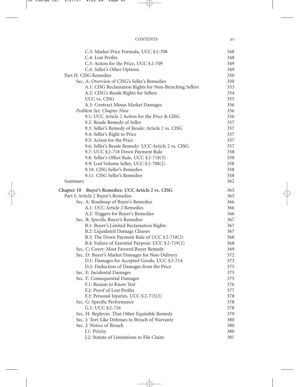| <b>CONTENTS</b> |  |
|-----------------|--|
|                 |  |

| C.3: Market Price Formula, UCC §2-708                  | 348 |
|--------------------------------------------------------|-----|
| C.4: Lost Profits                                      | 348 |
| C.5: Action for the Price, UCC §2-709                  | 349 |
| C.6: Seller's Other Options                            | 349 |
| Part II: CISG Remedies                                 | 350 |
| Sec. A: Overview of CISG's Seller's Remedies           | 350 |
| A.1: CISG Reclamation Rights for Non-Breaching Sellers | 353 |
| A.2: CISG's Resale Rights for Sellers                  | 354 |
| UCC vs. CISG                                           | 355 |
| A.3: Contract Minus Market Damages                     | 356 |
| Problem Set: Chapter Nine                              | 356 |
| 9.1: UCC Article 2 Action for the Price & CISG         | 356 |
| 9.2: Resale Remedy of Seller                           | 357 |
| 9.3: Seller's Remedy of Resale: Article 2 vs. CISG     | 357 |
| 9.4: Seller's Right to Price                           | 357 |
| 9.5: Action for the Price                              | 357 |
| 9.6: Seller's Resale Remedy: UCC Article 2 vs. CISG    | 357 |
| 9.7: UCC §2-718 Down Payment Rule                      | 358 |
| 9.8: Seller's Offset Rule, UCC §2-718(3)               | 358 |
| 9.9: Lost Volume Seller, UCC § 2-708(2)                | 358 |
| 9.10: CISG Seller's Remedies                           | 358 |
| 9.11: CISG Seller's Remedies                           | 358 |
| Summary                                                | 362 |
| Chapter 10 Buyer's Remedies: UCC Article 2 vs. CISG    | 365 |
| Part I: Article 2 Buyer's Remedies                     | 365 |
| Sec. A: Roadmap of Buyer's Remedies                    | 366 |
| A.1: UCC Article 2 Remedies                            | 366 |
| A.2: Triggers for Buyer's Remedies                     | 366 |
| Sec. B: Specific Buyer's Remedies                      | 367 |
| B.1: Buyer's Limited Reclamation Rights                | 367 |
| B.2: Liquidated Damage Clauses                         | 367 |
| B.3: The Down Payment Rule of UCC §2-718(2)            | 368 |
| B.4: Failure of Essential Purpose: UCC §2-719(2)       | 368 |
| Sec. C: Cover: Most Favored Buyer Remedy               | 369 |
| Sec. D: Buyer's Market Damages for Non-Delivery        | 372 |
| D.1: Damages for Accepted Goods, UCC §2-714            | 373 |
| D.2: Deduction of Damages from the Price               | 375 |
| Sec. E: Incidental Damages                             | 375 |
| Sec. F: Consequential Damages                          | 375 |
| F.1: Reason to Know Test                               | 376 |
| F.2: Proof of Lost Profits                             | 377 |
| F.3: Personal Injuries, UCC § 2-715(2)                 | 378 |
| Sec. G: Specific Performance                           | 378 |
| G.1: UCC §2-716                                        | 378 |
| Sec. H: Replevin: That Other Equitable Remedy          | 379 |
| Sec. I: Tort-Like Defenses to Breach of Warranty       | 380 |
| Sec. J: Notice of Breach                               | 380 |
| J.1: Privity                                           | 380 |
| J.2: Statute of Limitations to File Claim              | 381 |
|                                                        |     |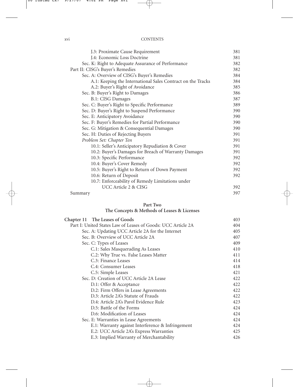| XV1 | <b>CONTENTS</b> |
|-----|-----------------|
|     |                 |

| J.3: Proximate Cause Requirement                            | 381 |
|-------------------------------------------------------------|-----|
| J.4: Economic Loss Doctrine                                 | 381 |
| Sec. K: Right to Adequate Assurance of Performance          | 382 |
| Part II: CISG's Buyer's Remedies                            | 382 |
| Sec. A: Overview of CISG's Buyer's Remedies                 | 384 |
| A.1: Keeping the International Sales Contract on the Tracks | 384 |
| A.2: Buyer's Right of Avoidance                             | 385 |
| Sec. B: Buyer's Right to Damages                            | 386 |
| B.1: CISG Damages                                           | 387 |
| Sec. C: Buyer's Right to Specific Performance               | 389 |
| Sec. D: Buyer's Right to Suspend Performance                | 390 |
| Sec. E: Anticipatory Avoidance                              | 390 |
| Sec. F: Buyer's Remedies for Partial Performance            | 390 |
| Sec. G: Mitigation & Consequential Damages                  | 390 |
| Sec. H: Duties of Rejecting Buyers                          | 391 |
| Problem Set: Chapter Ten                                    | 391 |
| 10.1: Seller's Anticipatory Repudiation & Cover             | 391 |
| 10.2: Buyer's Damages for Breach of Warranty Damages        | 391 |
| 10.3: Specific Performance                                  | 392 |
| 10.4: Buyer's Cover Remedy                                  | 392 |
| 10.5: Buyer's Right to Return of Down Payment               | 392 |
| 10.6: Return of Deposit                                     | 392 |
| 10.7: Enforceability of Remedy Limitations under            |     |
| UCC Article 2 & CISG                                        | 392 |
| Summary                                                     | 397 |
|                                                             |     |

### **Part Two**

### **The Concepts & Methods of Leases & Licenses**

| Chapter 11 The Leases of Goods                               | 403 |
|--------------------------------------------------------------|-----|
| Part I: United States Law of Leases of Goods: UCC Article 2A | 404 |
| Sec. A: Updating UCC Article 2A for the Internet             | 405 |
| Sec. B: Overview of UCC Article 2A                           | 407 |
| Sec. C: Types of Leases                                      | 409 |
| C.1: Sales Masquerading As Leases                            | 410 |
| C.2: Why True vs. False Leases Matter                        | 411 |
| C.3: Finance Leases                                          | 414 |
| C.4: Consumer Leases                                         | 418 |
| C.5: Simple Leases                                           | 421 |
| Sec. D: Creation of UCC Article 2A Lease                     | 422 |
| D.1: Offer & Acceptance                                      | 422 |
| D.2: Firm Offers in Lease Agreements                         | 422 |
| D.3: Article 2A's Statute of Frauds                          | 422 |
| D.4: Article 2A's Parol Evidence Rule                        | 423 |
| D.5: Battle of the Forms                                     | 424 |
| D.6: Modification of Leases                                  | 424 |
| Sec. E: Warranties in Lease Agreements                       | 424 |
| E.1: Warranty against Interference & Infringement            | 424 |
| E.2: UCC Article 2A's Express Warranties                     | 425 |
| E.3: Implied Warranty of Merchantability                     | 426 |
|                                                              |     |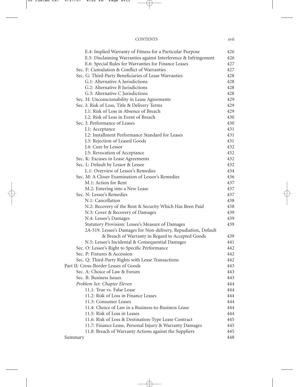#### CONTENTS xvii

| E.4: Implied Warranty of Fitness for a Particular Purpose       | 426 |
|-----------------------------------------------------------------|-----|
| E.5: Disclaiming Warranties against Interference & Infringement | 426 |
| E.6: Special Rules for Warranties for Finance Leases            | 427 |
| Sec. F: Cumulation & Conflict of Warranties                     | 427 |
| Sec. G: Third-Party Beneficiaries of Lease Warranties           | 428 |
| G.1: Alternative A Jurisdictions                                | 428 |
| G.2: Alternative B Jurisdictions                                | 428 |
| G.3: Alternative C Jurisdictions                                | 428 |
| Sec. H: Unconscionability in Lease Agreements                   | 429 |
| Sec. I: Risk of Loss, Title & Delivery Terms                    | 429 |
| I.1: Risk of Loss in Absence of Breach                          | 429 |
| I.2: Risk of Loss in Event of Breach                            | 430 |
| Sec. J: Performance of Leases                                   | 430 |
| J.1: Acceptance                                                 | 431 |
| J.2: Installment Performance Standard for Leases                | 431 |
| J.3: Rejection of Leased Goods                                  | 431 |
| J.4: Cure by Lessor                                             | 432 |
| J.5: Revocation of Acceptance                                   | 432 |
| Sec. K: Excuses in Lease Agreements                             | 432 |
| Sec. L: Default by Lessor & Lessee                              | 432 |
| L.1: Overview of Lessor's Remedies                              | 434 |
| Sec. M: A Closer Examination of Lessor's Remedies               | 436 |
| M.1: Action for Rent                                            | 437 |
| M.2: Entering into a New Lease                                  | 437 |
| Sec. N: Lessee's Remedies                                       | 437 |
| N.1: Cancellation                                               | 438 |
| N.2: Recovery of the Rent & Security Which Has Been Paid        | 438 |
| N.3: Cover & Recovery of Damages                                | 439 |
| N.4: Lessee's Damages                                           | 439 |
| Statutory Provision: Lessee's Measure of Damages                | 439 |
| 2A-519. Lessee's Damages for Non-delivery, Repudiation, Default |     |
| & Breach of Warranty in Regard to Accepted Goods                | 439 |
| N.5: Lessee's Incidental & Consequential Damages                | 441 |
| Sec. O: Lessee's Right to Specific Performance                  | 442 |
| Sec. P: Fixtures & Accession                                    | 442 |
| Sec. Q: Third-Party Rights with Lease Transactions              | 442 |
| Part II: Cross-Border Leases of Goods                           | 443 |
| Sec. A: Choice of Law & Forum                                   | 443 |
| Sec. B: Business Issues                                         | 443 |
| Problem Set: Chapter Eleven                                     | 444 |
| 11.1: True vs. False Lease                                      | 444 |
| 11.2: Risk of Loss in Finance Leases                            | 444 |
| 11.3: Consumer Leases                                           | 444 |
| 11.4: Choice of Law in a Business-to-Business Lease             | 444 |
| 11.5: Risk of Loss in Leases                                    | 444 |
| 11.6: Risk of Loss & Destination-Type Lease Contract            | 445 |
| 11.7: Finance Lease, Personal Injury & Warranty Damages         | 445 |
| 11.8: Breach of Warranty Actions against the Suppliers          | 445 |
| Summary                                                         | 448 |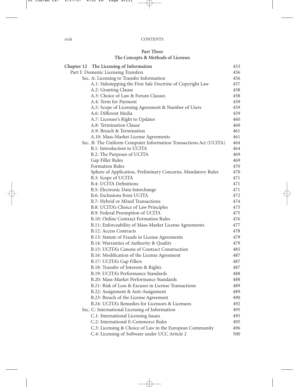#### **Part Three The Concepts & Methods of Licenses**

| Chapter 12 The Licensing of Information                                                | 453        |
|----------------------------------------------------------------------------------------|------------|
| Part I: Domestic Licensing Transfers                                                   | 456        |
| Sec. A: Licensing to Transfer Information                                              | 456        |
| A.1: Sidestepping the First Sale Doctrine of Copyright Law                             | 457        |
| A.2: Granting Clause                                                                   | 458        |
| A.3: Choice of Law & Forum Clauses                                                     | 458        |
| A.4: Term for Payment                                                                  | 459        |
| A.5: Scope of Licensing Agreement & Number of Users                                    | 459        |
| A.6: Different Media                                                                   | 459        |
| A.7: Licensee's Right to Updates                                                       | 460        |
| A.8: Termination Clause                                                                | 460        |
| A.9: Breach & Termination                                                              | 461        |
| A.10: Mass-Market License Agreements                                                   | 461        |
| Sec. B: The Uniform Computer Information Transactions Act (UCITA)                      | 464        |
| B.1: Introduction to UCITA                                                             | 464        |
| B.2: The Purposes of UCITA                                                             | 469        |
| Gap Filler Rules                                                                       | 469        |
| <b>Formation Rules</b><br>Sphere of Application, Preliminary Concerns, Mandatory Rules | 470<br>470 |
| B.3: Scope of UCITA                                                                    | 471        |
| <b>B.4: UCITA Definitions</b>                                                          | 471        |
| B.5: Electronic Data Interchange                                                       | 471        |
| B.6: Exclusions from UCITA                                                             | 472        |
| B.7: Hybrid or Mixed Transactions                                                      | 474        |
| B.8: UCITA's Choice of Law Principles                                                  | 475        |
| B.9: Federal Preemption of UCITA                                                       | 475        |
| B.10: Online Contract Formation Rules                                                  | 476        |
| B.11: Enforceability of Mass-Market License Agreements                                 | 477        |
| <b>B.12: Access Contracts</b>                                                          | 478        |
| B.13: Statute of Frauds in License Agreements                                          | 479        |
| B.14: Warranties of Authority & Quality                                                | 479        |
| B.15: UCITA's Canons of Contract Construction                                          | 485        |
| B.16: Modification of the License Agreement                                            | 487        |
| B.17: UCITA's Gap Fillers                                                              | 487        |
| B.18: Transfer of Interests & Rights                                                   | 487        |
| B.19: UCITA's Performance Standards                                                    | 488        |
| B.20: Mass-Market Performance Standards                                                | 488        |
| B.21: Risk of Loss & Excuses in License Transactions                                   | 489        |
| B.22: Assignment & Anti-Assignment                                                     | 489        |
| B.23: Breach of the License Agreement                                                  | 490        |
| B.24: UCITA's Remedies for Licensors & Licensees                                       | 492        |
| Sec. C: International Licensing of Information                                         | 495        |
| C.1: International Licensing Issues                                                    | 495        |
| C.2: International E-Commerce Rules                                                    | 495        |
| C.3: Licensing & Choice of Law in the European Community                               | 496        |
| C.4: Licensing of Software under UCC Article 2                                         | 500        |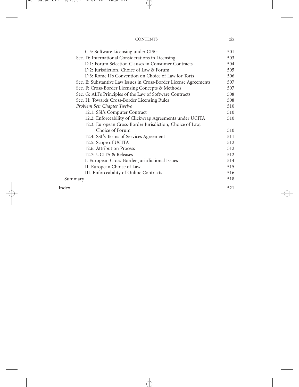| <b>CONTENTS</b> | X1X |
|-----------------|-----|

| C.5: Software Licensing under CISG                                | 501 |
|-------------------------------------------------------------------|-----|
| Sec. D: International Considerations in Licensing                 | 503 |
| D.1: Forum Selection Clauses in Consumer Contracts                | 504 |
| D.2: Jurisdiction, Choice of Law & Forum                          | 505 |
| D.3: Rome II's Convention on Choice of Law for Torts              | 506 |
| Sec. E: Substantive Law Issues in Cross-Border License Agreements | 507 |
| Sec. F: Cross-Border Licensing Concepts & Methods                 | 507 |
| Sec. G: ALI's Principles of the Law of Software Contracts         | 508 |
| Sec. H: Towards Cross-Border Licensing Rules                      | 508 |
| Problem Set: Chapter Twelve                                       | 510 |
| 12.1: SSL's Computer Contract                                     | 510 |
| 12.2: Enforceability of Clickwrap Agreements under UCITA          | 510 |
| 12.3: European Cross-Border Jurisdiction, Choice of Law,          |     |
| Choice of Forum                                                   | 510 |
| 12.4: SSL's Terms of Services Agreement                           | 511 |
| 12.5: Scope of UCITA                                              | 512 |
| 12.6: Attribution Process                                         | 512 |
| 12.7: UCITA & Releases                                            | 512 |
| I. European Cross-Border Jurisdictional Issues                    | 514 |
| II. European Choice of Law                                        | 515 |
| III. Enforceability of Online Contracts                           | 516 |
| Summary                                                           | 518 |
| Index                                                             | 521 |
|                                                                   |     |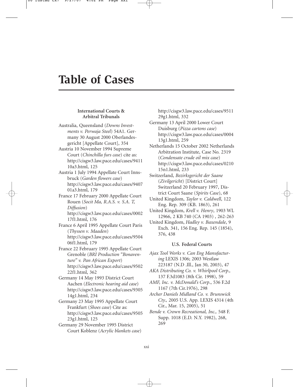## **Table of Cases**

#### **International Courts & Arbitral Tribunals**

- Australia, Queensland (*Downs Investments v. Perwaja Steel*) 54A1. Germany 30 August 2000 Oberlandesgericht [Appellate Court], 354
- Austria 10 November 1994 Supreme Court (*Chinchilla furs case*) cite as: http://cisgw3.law.pace.edu/cases/9411 10a3.html, 125
- Austria 1 July 1994 Appellate Court Innsbruck (*Garden flowers case*) http://cisgw3.law.pace.edu/cases/9407 01a3.html, 179
- France 17 February 2000 Appellate Court Rouen (*Socit Ma, R.A.S. v. S.A. T, Diffusion*) http://cisgw3.law.pace.edu/cases/0002
	- 17f1.html, 176
- France 6 April 1995 Appellate Court Paris (*Thyssen v. Maaden*) http://cisgw3.law.pace.edu/cases/9504 06f1.html, 179
- France 22 February 1995 Appellate Court Grenoble (*BRI Production "Bonaventure" v. Pan African Export*) http://cisgw3.law.pace.edu/cases/9502 22f1.html, 362
- Germany 14 May 1993 District Court Aachen (*Electronic hearing aid case*) http://cisgw3.law.pace.edu/cases/9305 14g1.html, 234
- Germany 23 May 1995 Appellate Court Frankfurt (*Shoes case*) Cite as: http://cisgw3.law.pace.edu/cases/9505 23g1.html, 125
- Germany 29 November 1995 District Court Koblenz (*Acrylic blankets case*)

http://cisgw3.law.pace.edu/cases/9511 29g1.html, 332

- Germany 13 April 2000 Lower Court Duisburg (*Pizza cartons case*) http://cisgw3.law.pace.edu/cases/0004 13g1.html, 259
- Netherlands 15 October 2002 Netherlands Arbitration Institute, Case No. 2319 (*Condensate crude oil mix case*) http://cisgw3.law.pace.edu/cases/0210 15n1.html, 233
- Switzerland, *Bezirksgericht der Saane* (*Zivilgericht*) [District Court] Switzerland 20 February 1997, District Court Saane (*Spirits Case*), 68
- United Kingdom, *Taylor v. Caldwell*, 122 Eng. Rep. 309 (KB. 1863), 261
- United Kingdom, *Krell v. Henry*, 1903 WL 12966, 2 KB 740 (CA 1903) , 262-263
- United Kingdom, *Hadley v. Baxendale*, 9 Exch. 341, 156 Eng. Rep. 145 (1854), 376, 438

#### **U.S. Federal Courts**

- *Ajax Tool Works v. Can Eng Manufacturing* LEXIS 1306; 2003 Westlaw 223187 (N.D .Ill., Jan 30, 2003), 47
- *AKA Distributing Co. v. Whirlpool Corp.,* 137 F.3d1083 (8th Cir. 1998), 59
- *AMF, Inc. v. McDonald's Corp*., 536 F.2d 1167 (7th Cir.1976), 298
- *Archer Daniels Midland Co. v. Brunswick Cty.,* 2005 U.S. App. LEXIS 4314 (4th Cir., Mar. 15, 2005), 51
- *Bende v. Crown Recreational, Inc.,* 548 F. Supp. 1018 (E.D. N.Y. 1982), 268, 269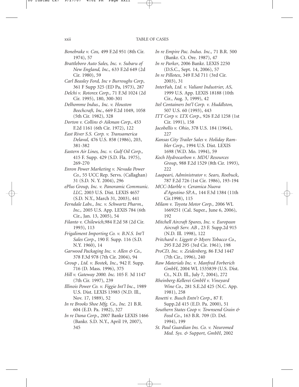*Bonebrake v. Cox,* 499 F.2d 951 (8th Cir. 1974), 57

- *Brattleboro Auto Sales, Inc. v. Subaru of New England, Inc.,* 633 F.2d 649 (2d Cir. 1980), 59
- *Carl Beasley Ford, Inc v Burroughs Corp*, 361 F Supp 325 (ED Pa, 1973), 287
- *Delchi v. Rotorex Corp.,* 71 F.3d 1024 (2d Cir. 1995), 180, 300-301
- *Delhomme Indus., Inc. v. Houston Beechcraft, Inc.,* 669 F.2d 1049, 1058 (5th Cir. 1982), 328
- *Dorton v. Collins & Aikman Corp.,* 453 F.2d 1161 (6th Cir. 1972), 122
- *East River S.S. Corp. v. Transamerica Delaval,* 476 U.S. 858 (1986), 203, 381-382
- *Eastern Air Lines, Inc. v. Gulf Oil Corp.,* 415 F. Supp. 429 (S.D. Fla. 1975), 269-270
- *Enron Power Marketing v. Nevada Power Co.,* 55 UCC Rep. Servs. (Callaghan) 31 (S.D. N. Y. 2004), 296
- *ePlus Group, Inc. v. Panoramic Communic. LLC,* 2003 U.S. Dist. LEXIS 4657 (S.D. N.Y., March 31, 2003), 441
- *Ferndale Labs., Inc. v. Schwartz Pharm., Inc.,* 2005 U.S. App. LEXIS 784 (6th Cir., Jan. 13, 2005), 54
- *Filanto v. Chilewich,*984 F.2d 58 (2d Cir. 1993), 113
- *Frigaliment Importing Co. v. B.N.S. Int'l Sales Corp*., 190 F. Supp. 116 (S.D. N.Y. 1960), 14
- *Garwood Packaging Inc. v. Allen & Co.,* 378 F.3d 978 (7th Cir. 2004), 94
- *Group , Ltd. v. Bostek, Inc.,* 942 F. Supp. 716 (D. Mass. 1996), 375
- *Hill v. Gateway 2000. Inc.* 105 F. 3d 1147 (7th Cir. 1997), 239
- *Illinois Power Co. v. Figgie Int'l Inc*., 1989 U.S. Dist. LEXIS 13983 (N.D. Ill., Nov. 17, 1989), 52
- *In re Brooks Shoe Mfg. Co., Inc.* 21 B.R. 604 (E.D. Pa. 1982), 327
- *In re Dana Corp*., 2007 Bankr LEXIS 1466 (Bankr. S.D. N.Y., April 19, 2007), 345
- *In re Empire Pac. Indus. Inc.,* 71 B.R. 500 (Bankr. Ct. Ore. 1987), 47
- *In re Parker*, 2006 Bankr. LEXIS 2250 (D.S.C., Sept. 14, 2006), 57
- *In re Pillotex*, 349 F.3d 711 (3rd Cir. 2003), 31
- *InterFah, Ltd. v. Valiant Industrier, AS*, 1999 U.S. App. LEXIS 18188 (10th Cir., Aug. 3, 1999), 42
- *Itel Containers Int'l Corp. v. Huddlston,* 507 U.S. 60 (1993), 443
- *ITT Corp v. LTX Corp*., 926 F.2d 1258 (1st Cir. 1991), 158
- *Jacobellis v. Ohio*, 378 U.S. 184 (1964), 227
- *Kansas City Trailer Sales v. Holiday Rambler Corp*., 1994 U.S. Dist. LEXIS 1698 (W.D. Mo. 1994), 59
- *Koch Hydrocarbon v. MDU Resources Group*, 988 F.2d 1529 (8th Cir. 1993), 222
- *Laapeari, Administrator v. Sears, Roebuck*, 787 F.2d 726 (1st Cir. 1986), 193-194
- *MCC-Marble v. Ceramica Nuova d'Agostino SP.A.,* 144 F.3d 1384 (11th Cir.1998), 115
- *Milam v. Toyota Motor Corp.,* 2006 WL 1669251 (Cal. Super., June 6, 2006), 192
- *Mitchell Aircraft Spares, Inc. v. European Aircraft Serv. AB* , 23 F. Supp.2d 915 (N.D. Ill. 1998), 122
- *Pritchard v. Liggett & Myers Tobacco Co.,* 295 F.2d 295 (3rd Cir. 1961), 198
- *ProCD, Inc. v. Zeidenberg,* 86 F.3d 1447 (7th Cir., 1996), 240
- *Raw Materials Inc. v. Manfred Forberich GmbH*, 2004 WL 1535839 (U.S. Dist. Ct., N.D. Ill., July 7, 2004), 272
- *Rheinberg-Kellerei GmbH v. Vineyard Wine Co.,* 281 S.E.2d 425 (N.C. App. 1981), 258
- *Rosetti v. Busch Entn't Corp*., 87 F. Supp.2d 415 (E.D. Pa. 2000), 51
- *Southern States Coop v. Townsend Grain & Feed Co*., 163 B.R. 709 (D. Del. 1994), 199
- *St. Paul Guardian Ins. Co. v. Neuromed Med. Sys. & Support, GmbH*, 2002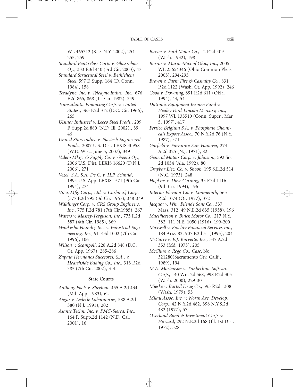WL 465312 (S.D. N.Y. 2002), 254- 255, 259

- *Standard Bent Glass Corp. v. Glassrobots Oy*., 333 F.3d 440 (3rd Cir. 2003), 47
- *Standard Structural Steel v. Bethlehem Steel,* 597 F. Supp. 164 (D. Conn. 1984), 158
- *Teradyne, Inc. v. Teledyne Indus., Inc*., 676 F.2d 865, 868 (1st Cir. 1982), 349
- *Transatlantic Financing Corp. v. United States*., 363 F.2d 312 (D.C. Cir. 1966), 265
- *Ulsinor Industeel v. Leeco Steel Prods*., 209 F. Supp.2d 880 (N.D. Ill. 2002)., 39, 46
- *United Stars Indus. v. Plastech Engineered Prods*., 2007 U.S. Dist. LEXIS 40958 (W.D. Wisc. June 5, 2007), 349
- *Valero Mktg. & Supply Co. v. Greeni Oy*., 2006 U.S. Dist. LEXIS 16620 (D.N.J. 2006), 271
- *Vezel, S.A. S.A. De C. v. H.P. Schmid*, 1994 U.S. App. LEXIS 1571 (9th Cir. 1994), 274
- *Vitex Mfg. Corp., Ltd. v. Carbitex] Corp*. [377 F.2d 795 (3d Cir. 1967), 348-349
- *Waldinger Corp. v. CRS Group Engineers, Inc*., 775 F.2d 781 (7th Cir.1985), 267
- *Waters v. Massey-Ferguson, Inc.,* 775 F.2d 587 (4th Cir. 1985), 369
- *Waukesha Foundry Inc. v. Industrial Engineering, Inc.,* 91 F.3d 1002 (7th Cir. 1996), 106
- *Wilson v. Scampoli*, 228 A.2d 848 (D.C. Ct. App. 1967), 285-286
- *Zapata Hermanos Sucesores, S.A., v. Hearthside Baking Co., Inc*., 313 F.2d 385 (7th Cir. 2002), 3-4.

#### **State Courts**

- *Anthony Pools v. Sheehan*, 455 A.2d 434 (Md. App. 1983), 62
- *Apgar v. Lederle Laboratories,* 588 A.2d 380 (N.J. 1991), 202
- *Asante Techn. Inc. v. PMC-Sierra, Inc*., 164 F. Supp.2d 1142 (N.D. Cal. 2001), 16
- *Baxter v. Ford Motor Co*., 12 P.2d 409 (Wash. 1932), 198
- *Borror v. MarineMax of Ohio, Inc*., 2005 WL 25654346 (Ohio Common Pleas 2005), 294-295
- *Brown v. Farm Fire & Casualty Co.,* 831 P.2d 1122 (Wash. Ct. App. 1992), 246
- *Cook v. Downing,* 891 P.2d 611 (Okla. 1994), 44, 54
- *Datronic Equipment Income Fund v. Healey Ford-Lincoln Mercury, Inc.,* 1997 WL 135510 (Conn. Super., Mar. 5, 1997), 417
- *Fertico Belgium S.A. v. Phosphate Chemicals Export Assoc.,* 70 N.Y.2d 76 (N.Y. 1987), 371
- *Garfield v. Furniture Fair-Hanover,* 274 A.2d 325 (N.J. 1971), 82
- *General Motors Corp. v. Johnston*, 592 So. 2d 1054 (Ala. 1992), 80
- *Graybar Elec. Co. v. Shook*, 195 S.E.2d 514 (N.C. 1973), 248
- *Hopkins v. Dow-Corning*, 33 F.3d 1116 (9th Cir. 1994), 196
- *Interior Elevator Co. v. Limmeroth*, 565 P.2d 1074 (Or. 1977), 372
- *Jacquot v. Wm. Filene's Sons Co*., 337 Mass. 312, 49 N.E.2d 635 (1958), 196
- *MacPherson v. Buick Motor Co*., 217 N.Y. 382, 111 N.E. 1050 (1916), 199-200
- *Maxwell v. Fidelity Financial Services Inc.,* 184 Ariz. 82, 907 P.2d 51 (1995), 204
- *McCarty v. E.J. Korvette, Inc.,* 347 A.2d 353 (Md. 1973), 205
- *McClure v. Rego Co., Case,* No. 321280(Sacramento Cty. Calif., 1989), 194
- *M.A. Mortenson v. Timberlinie Software Corp*., 140 Wn. 2d 568, 998 P.2d 305 (Wash. 2000), 229-30
- *Mieske v. Bartell Drug Co*., 593 P.2d 1308 (Wash. 1979), 55
- *Milau Assoc. Inc. v. North Ave. Develop. Corp*., 42 N.Y.2d 482, 398 N.Y.S.2d 482 (1977), 57
- *Overland Bond & Investment Corp. v. Howard*, 292 N.E.2d 168 (Ill. 1st Dist. 1972), 328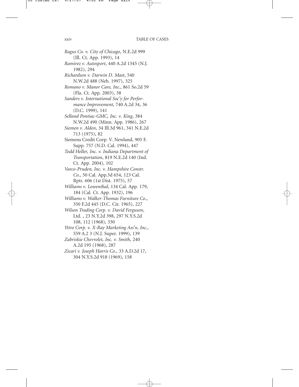*Ragus Co. v. City of Chicago*, N.E.2d 999 (Ill. Ct. App. 1993), 14 *Ramirez v. Autosport*, 440 A.2d 1345 (N.J. 1982), 294 *Richardson v. Darwin D. Mast*, 540 N.W.2d 488 (Neb. 1997), 325 *Romano v. Manor Care, Inc*., 861 So.2d 59 (Fla. Ct. App. 2003), 58 *Sanders v. International Soc'y for Performance Improvement*, 740 A.2d 34, 36 (D.C. 1999), 141 *Selland Pontiac-GMC, Inc. v. King*, 384 N.W.2d 490 (Minn. App. 1986), 267 *Siemen v. Alden*, 34 Ill.3d 961, 341 N.E.2d 713 (1975), 82 Siemens Credit Corp. V. Newland, 905 F. Supp. 757 (N.D. Cal. 1994), 447 *Todd Heller, Inc. v. Indiana Department of Transportation*, 819 N.E.2d 140 (Ind. Ct. App. 2004), 102 *Varco-Pruden, Inc. v. Hampshire Constr. Co*., 50 Cal. App.3d 654, 123 Cal. Rptr. 606 (1st Dist. 1975), 57 *Williams v. Lowenthal*, 134 Cal. App. 179, 184 (Cal. Ct. App. 1932), 196 *Williams v. Walker-Thomas Furniture Co*., 350 F.2d 445 (D.C. Cir. 1965), 227 *Wilson Trading Corp. v. David Ferguson*, Ltd. , 23 N.Y.2d 398, 297 N.Y.S.2d 108, 112 (1968), 330 *Yttro Corp. v. X-Ray Marketing Ass'n, Inc*., 559 A.2 3 (N.J. Super. 1999), 139 *Zabriskie Chevrolet, Inc. v. Smith*, 240 A.2d 195 (1968), 287 *Zicari v. Joseph Harris Co*., 33 A.D.2d 17, 304 N.Y.S.2d 918 (1969), 158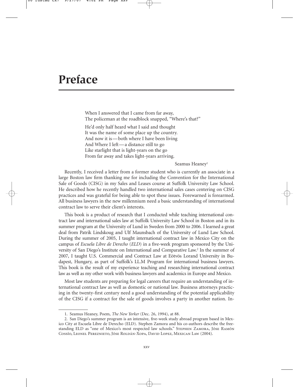## **Preface**

When I answered that I came from far away, The policeman at the roadblock snapped, "Where's that?"

He'd only half heard what I said and thought It was the name of some place up the country. And now it is — both where I have been living And Where I left — a distance still to go Like starlight that is light-years on the go From far away and takes light-years arriving.

Seamus Heaney<sup>1</sup>

Recently, I received a letter from a former student who is currently an associate in a large Boston law firm thanking me for including the Convention for the International Sale of Goods (CISG) in my Sales and Leases course at Suffolk University Law School. He described how he recently handled two international sales cases centering on CISG practices and was grateful for being able to spot these issues. Forewarned is forearmed. All business lawyers in the new millennium need a basic understanding of international contract law to serve their client's interests.

This book is a product of research that I conducted while teaching international contract law and international sales law at Suffolk University Law School in Boston and in its summer program at the University of Lund in Sweden from 2000 to 2006. I learned a great deal from Patrik Lindskoug and Ulf Maunsbach of the University of Lund Law School. During the summer of 2005, I taught international contract law in Mexico City on the campus of *Escuela Libre de Derecho* (*ELD*) in a five-week program sponsored by the University of San Diego's Institute on International and Comparative Law.2 In the summer of 2007, I taught U.S. Commercial and Contract Law at Eötvös Lorand University in Budapest, Hungary, as part of Suffolk's LL.M Program for international business lawyers. This book is the result of my experience teaching and researching international contract law as well as my other work with business lawyers and academics in Europe and Mexico.

Most law students are preparing for legal careers that require an understanding of international contract law as well as domestic or national law. Business attorneys practicing in the twenty-first century need a good understanding of the potential applicability of the CISG if a contract for the sale of goods involves a party in another nation. In-

<sup>1.</sup> Seamus Heaney, Poem, *The New Yorker* (Dec. 26, 1994), at 88.

<sup>2.</sup> San Diego's summer program is an intensive, five-week study abroad program based in Mexico City at Escuela Libre de Derecho (ELD). Stephen Zamora and his co-authors describe the freestanding ELD as "one of Mexico's most respected law schools." Stephen Zamora, Jóse Ramón Cossío, Leonel Pereznieto, Jóse Roldán-Xopa, David Lopez, Mexican Law (2004).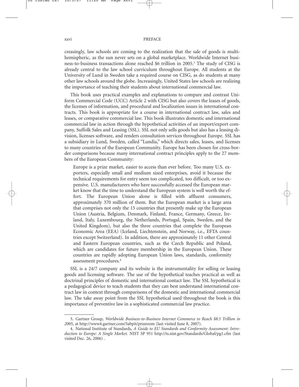#### xxvi PREFACE

creasingly, law schools are coming to the realization that the sale of goods is multihemispheric, as the sun never sets on a global marketplace. Worldwide Internet business-to-business transactions alone reached \$6 trillion in 2005.3 The study of CISG is already central to the law school curriculum throughout Europe. All students at the University of Lund in Sweden take a required course on CISG, as do students at many other law schools around the globe. Increasingly, United States law schools are realizing the importance of teaching their students about international commercial law.

This book uses practical examples and explanations to compare and contrast Uniform Commercial Code (UCC) Article 2 with CISG but also covers the leases of goods, the licenses of information, and procedural and localization issues in international contracts. This book is appropriate for a course in international contract law, sales and leases, or comparative commercial law. This book illustrates domestic and international commercial law in action through the hypothetical activities of an import/export company, Suffolk Sales and Leasing (SSL). SSL not only sells goods but also has a leasing division, licenses software, and renders consultation services throughout Europe. SSL has a subsidiary in Lund, Sweden, called "Lundia," which directs sales, leases, and licenses to many countries of the European Community. Europe has been chosen for cross-border comparisons because many international contract principles apply to the 27 members of the European Community:

Europe is a prize market, easier to access than ever before. Too many U.S. exporters, especially small and medium sized enterprises, avoid it because the technical requirements for entry seem too complicated, too difficult, or too expensive. U.S. manufacturers who have successfully accessed the European market know that the time to understand the European system is well worth the effort. The European Union alone is filled with affluent consumers, approximately 370 million of them. But the European market is a large area that comprises not only the 15 countries that presently make up the European Union (Austria, Belgium, Denmark, Finland, France, Germany, Greece, Ireland, Italy, Luxembourg, the Netherlands, Portugal, Spain, Sweden, and the United Kingdom), but also the three countries that complete the European Economic Area (EEA) (Iceland, Liechtenstein, and Norway, i.e., EFTA countries except Switzerland). In addition, there are approximately 11 other Central and Eastern European countries, such as the Czech Republic and Poland, which are candidates for future membership in the European Union. These countries are rapidly adopting European Union laws, standards, conformity assessment procedures.4

SSL is a 24/7 company and its website is the instrumentality for selling or leasing goods and licensing software. The use of the hypothetical teaches practical as well as doctrinal principles of domestic and international contact law. The SSL hypothetical is a pedagogical device to teach students that they can best understand international contract law in context through comparisons of the domestic and international commercial law. The take away point from the SSL hypothetical used throughout the book is this importance of preventive law in a sophisticated commercial law practice.

<sup>3.</sup> Gartner Group, *Worldwide Business-to-Business Internet Commerce to Reach \$8.5 Trillion in 2005*, at http://www4.gartner.com/5abpit/prssroom (last visited June 8, 2007).

<sup>4.</sup> National Institute of Standards, *A Guide to EU Standards and Conformity Assessment: Introduction to Europe: A Single Market.* NIST SP 951 http://ts.nist.gov/Standards/Global/pg1.cfm (last visited Dec. 26, 2006) .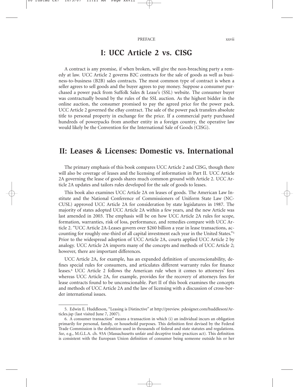### **I: UCC Article 2 vs. CISG**

A contract is any promise, if when broken, will give the non-breaching party a remedy at law. UCC Article 2 governs B2C contracts for the sale of goods as well as business-to-business (B2B) sales contracts. The most common type of contract is when a seller agrees to sell goods and the buyer agrees to pay money. Suppose a consumer purchased a power pack from Suffolk Sales & Lease's (SSL) website. The consumer buyer was contractually bound by the rules of the SSL auction. As the highest bidder in the online auction, the consumer promised to pay the agreed price for the power pack. UCC Article 2 governed the eBay contract. The sale of the power pack transfers absolute title to personal property in exchange for the price. If a commercial party purchased hundreds of powerpacks from another entity in a foreign country, the operative law would likely be the Convention for the International Sale of Goods (CISG).

### **II: Leases & Licenses: Domestic vs. International**

The primary emphasis of this book compares UCC Article 2 and CISG, though there will also be coverage of leases and the licensing of information in Part II. UCC Article 2A governing the lease of goods shares much common ground with Article 2. UCC Article 2A updates and tailors rules developed for the sale of goods to leases.

This book also examines UCC Article 2A on leases of goods. The American Law Institute and the National Conference of Commissioners of Uniform State Law (NC-CUSL) approved UCC Article 2A for consideration by state legislatures in 1987. The majority of states adopted UCC Article 2A within a few years, and the new Article was last amended in 2003. The emphasis will be on how UCC Article 2A rules for scope, formation, warranties, risk of loss, performance, and remedies compare with UCC Article 2. "UCC Article 2A-Leases govern over \$260 billion a year in lease transactions, accounting for roughly one-third of all capital investment each year in the United States."5 Prior to the widespread adoption of UCC Article 2A, courts applied UCC Article 2 by analogy. UCC Article 2A imports many of the concepts and methods of UCC Article 2; however, there are important differences.

UCC Article 2A, for example, has an expanded definition of unconscionability, defines special rules for consumers, and articulates different warranty rules for finance leases.6 UCC Article 2 follows the American rule when it comes to attorneys' fees whereas UCC Article 2A, for example, provides for the recovery of attorneys fees for lease contracts found to be unconscionable. Part II of this book examines the concepts and methods of UCC Article 2A and the law of licensing with a discussion of cross-border international issues.

<sup>5.</sup> Edwin E. Huddleson, "Leasing is Distinctive" at http://preview. pdesigner.com/huddleson/Articles.jsp (last visited June 7, 2007).

<sup>6.</sup> A consumer transaction" means a transaction in which (i) an individual incurs an obligation primarily for personal, family, or household purposes. This definition first devised by the Federal Trade Commission is the definition used in thousands of federal and state statutes and regulations. *See*, e.g., M.G.L.A. ch. 93A (Massachusetts unfair and deceptive trade practices act). This definition is consistent with the European Union definition of consumer being someone outside his or her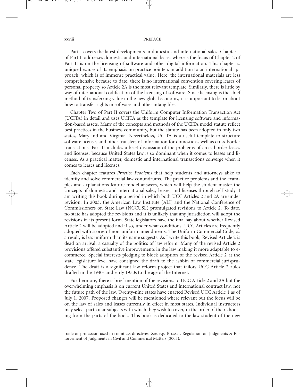#### xxviii PREFACE

Part I covers the latest developments in domestic and international sales. Chapter 1 of Part II addresses domestic and international leases whereas the focus of Chapter 2 of Part II is on the licensing of software and other digital information. This chapter is unique because of its emphasis on practice pointers in addition to an international approach, which is of immense practical value. Here, the international materials are less comprehensive because to date, there is no international convention covering leases of personal property so Article 2A is the most relevant template. Similarly, there is little by way of international codification of the licensing of software. Since licensing is the chief method of transferring value in the new global economy, it is important to learn about how to transfer rights in software and other intangibles.

Chapter Two of Part II covers the Uniform Computer Information Transaction Act (UCITA) in detail and uses UCITA as the template for licensing software and information-based assets. Many of the concepts and methods of the UCITA model statute reflect best practices in the business community, but the statute has been adopted in only two states, Maryland and Virginia. Nevertheless, UCITA is a useful template to structure software licenses and other transfers of information for domestic as well as cross-border transactions. Part II includes a brief discussion of the problems of cross-border leases and licenses, because United States law is so dominant when it comes to leases and licenses. As a practical matter, domestic and international transactions converge when it comes to leases and licenses.

Each chapter features *Practice Problems* that help students and attorneys alike to identify and solve commercial law conundrums. The practice problems and the examples and explanations feature model answers, which will help the student master the concepts of domestic and international sales, leases, and licenses through self-study. I am writing this book during a period in which both UCC Articles 2 and 2A are under revision. In 2003, the American Law Institute (ALI) and the National Conference of Commissioners on State Law (NCCUSL) promulgated revisions to Article 2. To date, no state has adopted the revisions and it is unlikely that any jurisdiction will adopt the revisions in its present form. State legislators have the final say about whether Revised Article 2 will be adopted and if so, under what conditions. UCC Articles are frequently adopted with scores of non-uniform amendments. The Uniform Commercial Code, as a result, is less uniform than its name suggests. As I write this book, Revised Article 2 is dead on arrival, a casualty of the politics of law reform. Many of the revised Article 2 provisions offered substantive improvements in the law making it more adaptable to ecommerce. Special interests pledging to block adoption of the revised Article 2 at the state legislature level have consigned the draft to the ashbin of commercial jurisprudence. The draft is a significant law reform project that tailors UCC Article 2 rules drafted in the 1940s and early 1950s to the age of the Internet.

Furthermore, there is brief mention of the revisions to UCC Article 2 and 2A but the overwhelming emphasis is on current United States and international contract law, not the future path of the law. Twenty-nine states have enacted Revised UCC Article 1 as of July 1, 2007. Proposed changes will be mentioned where relevant but the focus will be on the law of sales and leases currently in effect in most states. Individual instructors may select particular subjects with which they wish to cover, in the order of their choosing from the parts of the book. This book is dedicated to the law student of the new

trade or profession used in countless directives. *See*, e.g. Brussels Regulation on Judgments & Enforcement of Judgments in Civil and Commerical Matters (2003).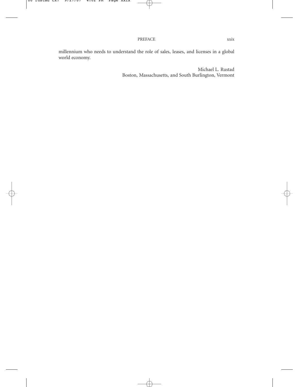millennium who needs to understand the role of sales, leases, and licenses in a global world economy.

> Michael L. Rustad Boston, Massachusetts, and South Burlington, Vermont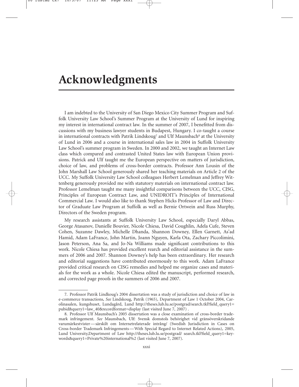## **Acknowledgments**

I am indebted to the University of San Diego Mexico City Summer Program and Suffolk University Law School's Summer Program at the University of Lund for inspiring my interest in international contract law. In the summer of 2007, I benefitted from discussions with my business lawyer students in Budapest, Hungary. I co-taught a course in international contracts with Patrik Lindskoug<sup>7</sup> and Ulf Maunsbach<sup>8</sup> at the University of Lund in 2006 and a course in international sales law in 2004 in Suffolk University Law School's summer program in Sweden. In 2000 and 2002, we taught an Internet Law class which compared and contrasted United States law with European Union provisions. Patrick and Ulf taught me the European perspective on matters of jurisdiction, choice of law, and problems of cross-border contracts. Professor Ann Lousin of the John Marshall Law School generously shared her teaching materials on Article 2 of the UCC. My Suffolk University Law School colleagues Herbert Lemelman and Jeffrey Wittenberg generously provided me with statutory materials on international contract law. Professor Lemelman taught me many insightful comparisons between the UCC, CISG, Principles of European Contract Law, and UNIDROIT's Principles of International Commercial Law. I would also like to thank Stephen Hicks Professor of Law and Director of Graduate Law Program at Suffolk as well as Bernie Ortwein and Russ Murphy, Directors of the Sweden program.

My research assistants at Suffolk University Law School, especially Daryl Abbas, George Atasanov, Danielle Bouvier, Nicole Chiesa, David Coughlin, Adela Cufe, Steven Cohen, Suzanne Dawley, Michelle Dhanda, Shannon Downey, Ellen Garnett, As'ad Hamid, Adam LaFrance, John Martin, Joann Nguyen, Karla Ota, Zachary Piccolimini, Jason Peterson, Ana Sa, and Jo-Na Williams made significant contributions to this work. Nicole Chiesa has provided excellent rearch and editorial assistance in the summers of 2006 and 2007. Shannon Downey's help has been extraordinary. Her research and editorial suggestions have contributed enormously to this work. Adam LaFrance provided critical research on CISG remedies and helped me organize cases and materials for the work as a whole. Nicole Chiesa edited the manuscript, performed research, and corrected page proofs in the summers of 2006 and 2007.

<sup>7.</sup> Professor Patrik Lindkoug's 2004 dissertation was a study of jurisdiction and choice of law in e-commerce transactions, *See* Lindskoug, Patrik (1965), Department of Law 1 October 2004, Carolinasalen, kungshuset, Lundagård, Lund http://theses.lub.lu.se/postgrad/search.tkl?field\_query1= pubid&query1=law\_40&recordformat=display (last visited June 7, 2007) .

<sup>8.</sup> Professor Ulf Maunsbach's 2005 dissertation was a close examination of cross-border trademark infringement. *See* Maunsbach, Ulf: Svensk domstols behörighet vid gränsöverskridande varumärkestvister — särskilt om Internetrelaterade intrång/ (Swedish Jurisdiction in Cases on Cross-border Trademark Infringements — With Special Regard to Internet Related Actions), 2005, Lund University,Department of Law http://theses.lub.lu.se/postgrad/ search.tkl?field\_query1=keywords&query1=Private%20international%2 (last visited June 7, 2007).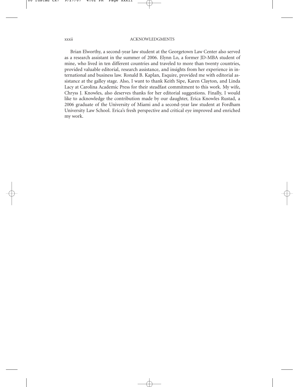#### xxxii ACKNOWLEDGMENTS

Brian Elworthy, a second-year law student at the Georgetown Law Center also served as a research assistant in the summer of 2006. Elynn Lo, a former JD-MBA student of mine, who lived in ten different countries and traveled to more than twenty countries, provided valuable editorial, research assistance, and insights from her experience in international and business law. Ronald B. Kaplan, Esquire, provided me with editorial assistance at the galley stage. Also, I want to thank Keith Sipe, Karen Clayton, and Linda Lacy at Carolina Academic Press for their steadfast commitment to this work. My wife, Chryss J. Knowles, also deserves thanks for her editorial suggestions. Finally, I would like to acknowledge the contribution made by our daughter, Erica Knowles Rustad, a 2006 graduate of the University of Miami and a second-year law student at Fordham University Law School. Erica's fresh perspective and critical eye improved and enriched my work.